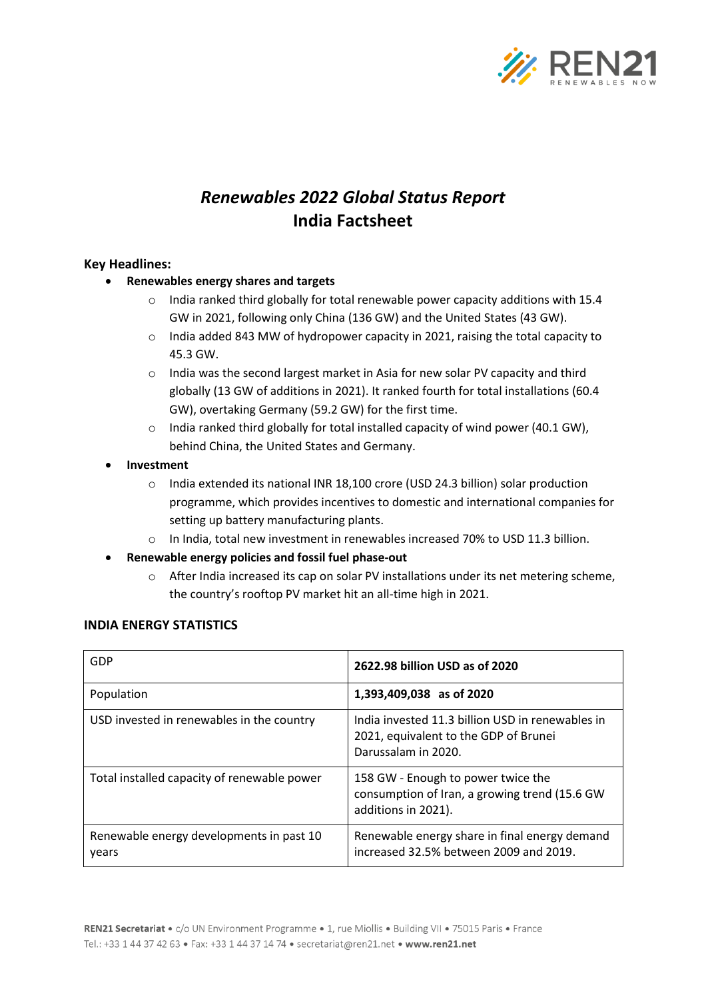

# *Renewables 2022 Global Status Report* **India Factsheet**

### **Key Headlines:**

- **Renewables energy shares and targets**
	- $\circ$  India ranked third globally for total renewable power capacity additions with 15.4 GW in 2021, following only China (136 GW) and the United States (43 GW).
	- $\circ$  India added 843 MW of hydropower capacity in 2021, raising the total capacity to 45.3 GW.
	- $\circ$  India was the second largest market in Asia for new solar PV capacity and third globally (13 GW of additions in 2021). It ranked fourth for total installations (60.4 GW), overtaking Germany (59.2 GW) for the first time.
	- $\circ$  India ranked third globally for total installed capacity of wind power (40.1 GW), behind China, the United States and Germany.
- **Investment**
	- o India extended its national INR 18,100 crore (USD 24.3 billion) solar production programme, which provides incentives to domestic and international companies for setting up battery manufacturing plants.
	- o In India, total new investment in renewables increased 70% to USD 11.3 billion.
- **Renewable energy policies and fossil fuel phase-out**
	- o After India increased its cap on solar PV installations under its net metering scheme, the country's rooftop PV market hit an all-time high in 2021.

# GDP **2622.98 billion USD as of 2020** Population **1,393,409,038 as of 2020** USD invested in renewables in the country  $\vert$  India invested 11.3 billion USD in renewables in 2021, equivalent to the GDP of Brunei Darussalam in 2020. Total installed capacity of renewable power | 158 GW - Enough to power twice the consumption of Iran, a growing trend (15.6 GW additions in 2021). Renewable energy developments in past 10 years Renewable energy share in final energy demand increased 32.5% between 2009 and 2019.

# **INDIA ENERGY STATISTICS**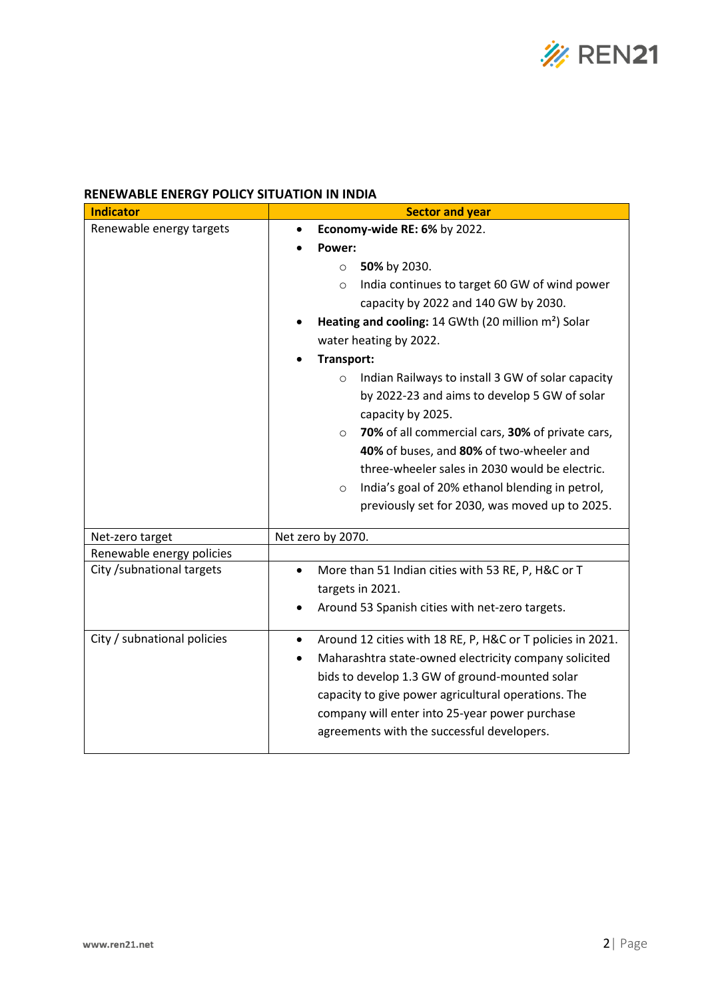

## **RENEWABLE ENERGY POLICY SITUATION IN INDIA**

| <b>Indicator</b>            | <b>Sector and year</b>                                                                                                            |  |  |
|-----------------------------|-----------------------------------------------------------------------------------------------------------------------------------|--|--|
| Renewable energy targets    | Economy-wide RE: 6% by 2022.                                                                                                      |  |  |
|                             | Power:                                                                                                                            |  |  |
|                             | 50% by 2030.<br>$\circ$                                                                                                           |  |  |
|                             | India continues to target 60 GW of wind power<br>$\circ$                                                                          |  |  |
|                             | capacity by 2022 and 140 GW by 2030.                                                                                              |  |  |
|                             | Heating and cooling: 14 GWth (20 million m <sup>2</sup> ) Solar                                                                   |  |  |
|                             | water heating by 2022.                                                                                                            |  |  |
|                             | Transport:                                                                                                                        |  |  |
|                             | Indian Railways to install 3 GW of solar capacity<br>$\circ$<br>by 2022-23 and aims to develop 5 GW of solar<br>capacity by 2025. |  |  |
|                             | 70% of all commercial cars, 30% of private cars,<br>$\circ$                                                                       |  |  |
|                             | 40% of buses, and 80% of two-wheeler and<br>three-wheeler sales in 2030 would be electric.                                        |  |  |
|                             |                                                                                                                                   |  |  |
|                             | India's goal of 20% ethanol blending in petrol,<br>$\circ$<br>previously set for 2030, was moved up to 2025.                      |  |  |
|                             |                                                                                                                                   |  |  |
| Net-zero target             | Net zero by 2070.                                                                                                                 |  |  |
| Renewable energy policies   |                                                                                                                                   |  |  |
| City /subnational targets   | More than 51 Indian cities with 53 RE, P, H&C or T<br>$\bullet$<br>targets in 2021.                                               |  |  |
|                             | Around 53 Spanish cities with net-zero targets.                                                                                   |  |  |
| City / subnational policies | Around 12 cities with 18 RE, P, H&C or T policies in 2021.<br>$\bullet$                                                           |  |  |
|                             | Maharashtra state-owned electricity company solicited<br>$\bullet$                                                                |  |  |
|                             | bids to develop 1.3 GW of ground-mounted solar                                                                                    |  |  |
|                             | capacity to give power agricultural operations. The                                                                               |  |  |
|                             | company will enter into 25-year power purchase                                                                                    |  |  |
|                             | agreements with the successful developers.                                                                                        |  |  |